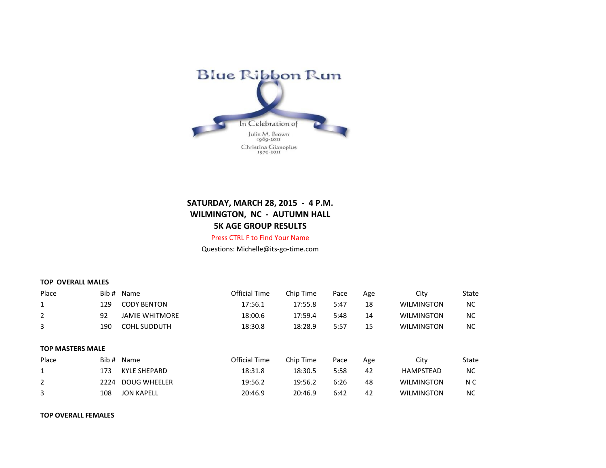

## **SATURDAY, MARCH 28, 2015 - 4 P.M. WILMINGTON, NC - AUTUMN HALL 5K AGE GROUP RESULTS** Press CTRL F to Find Your Name

Questions: Michelle@its-go-time.com

|  |  | <b>TOP OVERALL MALES</b> |  |  |
|--|--|--------------------------|--|--|
|--|--|--------------------------|--|--|

| Place                   |      | Bib # Name            | Official Time        | Chip Time | Pace | Age | City              | State     |
|-------------------------|------|-----------------------|----------------------|-----------|------|-----|-------------------|-----------|
| 1                       | 129  | <b>CODY BENTON</b>    | 17:56.1              | 17:55.8   | 5:47 | 18  | <b>WILMINGTON</b> | <b>NC</b> |
| 2                       | 92   | <b>JAMIE WHITMORE</b> | 18:00.6              | 17:59.4   | 5:48 | 14  | <b>WILMINGTON</b> | <b>NC</b> |
| 3                       | 190  | <b>COHL SUDDUTH</b>   | 18:30.8              | 18:28.9   | 5:57 | 15  | <b>WILMINGTON</b> | <b>NC</b> |
|                         |      |                       |                      |           |      |     |                   |           |
| <b>TOP MASTERS MALE</b> |      |                       |                      |           |      |     |                   |           |
| Place                   |      | Bib # Name            | <b>Official Time</b> | Chip Time | Pace | Age | City              | State     |
| 1                       |      |                       |                      |           |      |     |                   |           |
|                         | 173  | KYLE SHEPARD          | 18:31.8              | 18:30.5   | 5:58 | 42  | <b>HAMPSTEAD</b>  | <b>NC</b> |
| $\overline{2}$          | 2224 | DOUG WHEELER          | 19:56.2              | 19:56.2   | 6:26 | 48  | <b>WILMINGTON</b> | N C       |
| 3                       | 108  | <b>JON KAPELL</b>     | 20:46.9              | 20:46.9   | 6:42 | 42  | <b>WILMINGTON</b> | <b>NC</b> |

## **TOP OVERALL FEMALES**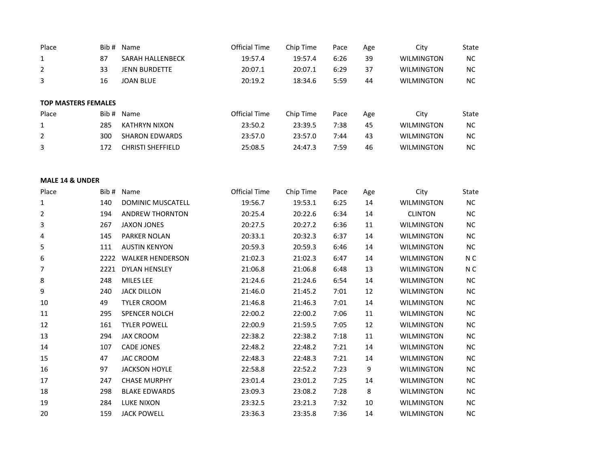| Place                      |     | Bib # Name               | Official Time | Chip Time | Pace | Age | City              | State |
|----------------------------|-----|--------------------------|---------------|-----------|------|-----|-------------------|-------|
| 1                          | 87  | <b>SARAH HALLENBECK</b>  | 19:57.4       | 19:57.4   | 6:26 | 39  | <b>WILMINGTON</b> | NC    |
| $\overline{2}$             | 33  | <b>JENN BURDETTE</b>     | 20:07.1       | 20:07.1   | 6:29 | 37  | <b>WILMINGTON</b> | NC.   |
| 3                          | 16  | <b>JOAN BLUE</b>         | 20:19.2       | 18:34.6   | 5:59 | 44  | <b>WILMINGTON</b> | NC.   |
|                            |     |                          |               |           |      |     |                   |       |
| <b>TOP MASTERS FEMALES</b> |     |                          |               |           |      |     |                   |       |
| Place                      |     | Bib # Name               | Official Time | Chip Time | Pace | Age | City              | State |
| 1                          | 285 | <b>KATHRYN NIXON</b>     | 23:50.2       | 23:39.5   | 7:38 | 45  | <b>WILMINGTON</b> | NC.   |
| 2                          | 300 | <b>SHARON EDWARDS</b>    | 23:57.0       | 23:57.0   | 7:44 | 43  | <b>WILMINGTON</b> | NC.   |
| 3                          | 172 | <b>CHRISTI SHEFFIELD</b> | 25:08.5       | 24:47.3   | 7:59 | 46  | <b>WILMINGTON</b> | NC.   |
|                            |     |                          |               |           |      |     |                   |       |

## **MALE 14 & UNDER**

| Place | Bib # | Name                    | Official Time | Chip Time | Pace | Age | City              | <b>State</b> |
|-------|-------|-------------------------|---------------|-----------|------|-----|-------------------|--------------|
| 1     | 140   | DOMINIC MUSCATELL       | 19:56.7       | 19:53.1   | 6:25 | 14  | <b>WILMINGTON</b> | ΝC           |
| 2     | 194   | <b>ANDREW THORNTON</b>  | 20:25.4       | 20:22.6   | 6:34 | 14  | <b>CLINTON</b>    | <b>NC</b>    |
| 3     | 267   | <b>JAXON JONES</b>      | 20:27.5       | 20:27.2   | 6:36 | 11  | <b>WILMINGTON</b> | ΝC           |
| 4     | 145   | PARKER NOLAN            | 20:33.1       | 20:32.3   | 6:37 | 14  | <b>WILMINGTON</b> | <b>NC</b>    |
| 5     | 111   | <b>AUSTIN KENYON</b>    | 20:59.3       | 20:59.3   | 6:46 | 14  | <b>WILMINGTON</b> | ΝC           |
| 6     | 2222  | <b>WALKER HENDERSON</b> | 21:02.3       | 21:02.3   | 6:47 | 14  | <b>WILMINGTON</b> | N C          |
| 7     | 2221  | <b>DYLAN HENSLEY</b>    | 21:06.8       | 21:06.8   | 6:48 | 13  | <b>WILMINGTON</b> | N C          |
| 8     | 248   | MILES LEE               | 21:24.6       | 21:24.6   | 6:54 | 14  | <b>WILMINGTON</b> | ΝC           |
| 9     | 240   | <b>JACK DILLON</b>      | 21:46.0       | 21:45.2   | 7:01 | 12  | <b>WILMINGTON</b> | <b>NC</b>    |
| 10    | 49    | <b>TYLER CROOM</b>      | 21:46.8       | 21:46.3   | 7:01 | 14  | <b>WILMINGTON</b> | ΝC           |
| 11    | 295   | <b>SPENCER NOLCH</b>    | 22:00.2       | 22:00.2   | 7:06 | 11  | <b>WILMINGTON</b> | ΝC           |
| 12    | 161   | <b>TYLER POWELL</b>     | 22:00.9       | 21:59.5   | 7:05 | 12  | <b>WILMINGTON</b> | NC.          |
| 13    | 294   | <b>JAX CROOM</b>        | 22:38.2       | 22:38.2   | 7:18 | 11  | <b>WILMINGTON</b> | ΝC           |
| 14    | 107   | <b>CADE JONES</b>       | 22:48.2       | 22:48.2   | 7:21 | 14  | <b>WILMINGTON</b> | <b>NC</b>    |
| 15    | 47    | JAC CROOM               | 22:48.3       | 22:48.3   | 7:21 | 14  | <b>WILMINGTON</b> | ΝC           |
| 16    | 97    | <b>JACKSON HOYLE</b>    | 22:58.8       | 22:52.2   | 7:23 | 9   | <b>WILMINGTON</b> | ΝC           |
| 17    | 247   | <b>CHASE MURPHY</b>     | 23:01.4       | 23:01.2   | 7:25 | 14  | <b>WILMINGTON</b> | ΝC           |
| 18    | 298   | <b>BLAKE EDWARDS</b>    | 23:09.3       | 23:08.2   | 7:28 | 8   | <b>WILMINGTON</b> | ΝC           |
| 19    | 284   | <b>LUKE NIXON</b>       | 23:32.5       | 23:21.3   | 7:32 | 10  | <b>WILMINGTON</b> | <b>NC</b>    |
| 20    | 159   | <b>JACK POWELL</b>      | 23:36.3       | 23:35.8   | 7:36 | 14  | <b>WILMINGTON</b> | NC.          |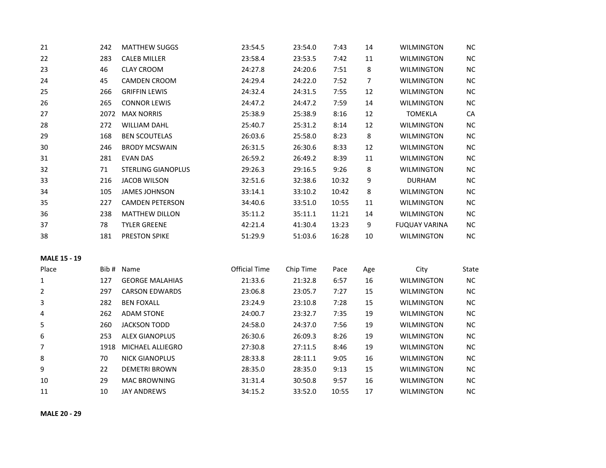| 21                  | 242  | <b>MATTHEW SUGGS</b>      | 23:54.5              | 23:54.0   | 7:43  | 14  | <b>WILMINGTON</b>    | $NC$       |
|---------------------|------|---------------------------|----------------------|-----------|-------|-----|----------------------|------------|
| 22                  | 283  | <b>CALEB MILLER</b>       | 23:58.4              | 23:53.5   | 7:42  | 11  | <b>WILMINGTON</b>    | $NC$       |
| 23                  | 46   | <b>CLAY CROOM</b>         | 24:27.8              | 24:20.6   | 7:51  | 8   | <b>WILMINGTON</b>    | $NC$       |
| 24                  | 45   | <b>CAMDEN CROOM</b>       | 24:29.4              | 24:22.0   | 7:52  | 7   | <b>WILMINGTON</b>    | <b>NC</b>  |
| 25                  | 266  | <b>GRIFFIN LEWIS</b>      | 24:32.4              | 24:31.5   | 7:55  | 12  | WILMINGTON           | NC         |
| 26                  | 265  | <b>CONNOR LEWIS</b>       | 24:47.2              | 24:47.2   | 7:59  | 14  | <b>WILMINGTON</b>    | NC         |
| 27                  | 2072 | <b>MAX NORRIS</b>         | 25:38.9              | 25:38.9   | 8:16  | 12  | <b>TOMEKLA</b>       | ${\sf CA}$ |
| 28                  | 272  | <b>WILLIAM DAHL</b>       | 25:40.7              | 25:31.2   | 8:14  | 12  | <b>WILMINGTON</b>    | $NC$       |
| 29                  | 168  | <b>BEN SCOUTELAS</b>      | 26:03.6              | 25:58.0   | 8:23  | 8   | <b>WILMINGTON</b>    | <b>NC</b>  |
| 30                  | 246  | <b>BRODY MCSWAIN</b>      | 26:31.5              | 26:30.6   | 8:33  | 12  | <b>WILMINGTON</b>    | NC         |
| 31                  | 281  | <b>EVAN DAS</b>           | 26:59.2              | 26:49.2   | 8:39  | 11  | <b>WILMINGTON</b>    | $NC$       |
| 32                  | 71   | <b>STERLING GIANOPLUS</b> | 29:26.3              | 29:16.5   | 9:26  | 8   | <b>WILMINGTON</b>    | NC         |
| 33                  | 216  | <b>JACOB WILSON</b>       | 32:51.6              | 32:38.6   | 10:32 | 9   | <b>DURHAM</b>        | <b>NC</b>  |
| 34                  | 105  | <b>JAMES JOHNSON</b>      | 33:14.1              | 33:10.2   | 10:42 | 8   | <b>WILMINGTON</b>    | NC         |
| 35                  | 227  | <b>CAMDEN PETERSON</b>    | 34:40.6              | 33:51.0   | 10:55 | 11  | <b>WILMINGTON</b>    | NC         |
| 36                  | 238  | <b>MATTHEW DILLON</b>     | 35:11.2              | 35:11.1   | 11:21 | 14  | <b>WILMINGTON</b>    | $NC$       |
| 37                  | 78   | <b>TYLER GREENE</b>       | 42:21.4              | 41:30.4   | 13:23 | 9   | <b>FUQUAY VARINA</b> | $NC$       |
| 38                  | 181  | PRESTON SPIKE             | 51:29.9              | 51:03.6   | 16:28 | 10  | <b>WILMINGTON</b>    | <b>NC</b>  |
| <b>MALE 15 - 19</b> |      |                           |                      |           |       |     |                      |            |
| Place               | Bib# | Name                      | <b>Official Time</b> | Chip Time | Pace  | Age | City                 | State      |
| $\mathbf{1}$        | 127  | <b>GEORGE MALAHIAS</b>    | 21:33.6              | 21:32.8   | 6:57  | 16  | <b>WILMINGTON</b>    | NC         |
| 2                   | 297  | <b>CARSON EDWARDS</b>     | 23:06.8              | 23:05.7   | 7:27  | 15  | <b>WILMINGTON</b>    | NC         |
| 3                   | 282  | <b>BEN FOXALL</b>         | 23:24.9              | 23:10.8   | 7:28  | 15  | <b>WILMINGTON</b>    | $NC$       |
| 4                   | 262  | <b>ADAM STONE</b>         | 24:00.7              | 23:32.7   | 7:35  | 19  | <b>WILMINGTON</b>    | NC         |
| 5                   | 260  | <b>JACKSON TODD</b>       | 24:58.0              | 24:37.0   | 7:56  | 19  | <b>WILMINGTON</b>    | $NC$       |
| 6                   | 253  | <b>ALEX GIANOPLUS</b>     | 26:30.6              | 26:09.3   | 8:26  | 19  | <b>WILMINGTON</b>    | <b>NC</b>  |
| 7                   | 1918 | MICHAEL ALLIEGRO          | 27:30.8              | 27:11.5   | 8:46  | 19  | <b>WILMINGTON</b>    | NC         |
| 8                   | 70   | <b>NICK GIANOPLUS</b>     | 28:33.8              | 28:11.1   | 9:05  | 16  | <b>WILMINGTON</b>    | $NC$       |
| 9                   | 22   | <b>DEMETRI BROWN</b>      | 28:35.0              | 28:35.0   | 9:13  | 15  | <b>WILMINGTON</b>    | NC         |
| 10                  | 29   | <b>MAC BROWNING</b>       | 31:31.4              | 30:50.8   | 9:57  | 16  | <b>WILMINGTON</b>    | <b>NC</b>  |
| 11                  | 10   | <b>JAY ANDREWS</b>        | 34:15.2              | 33:52.0   | 10:55 | 17  | <b>WILMINGTON</b>    | NC         |

**MALE 20 - 29**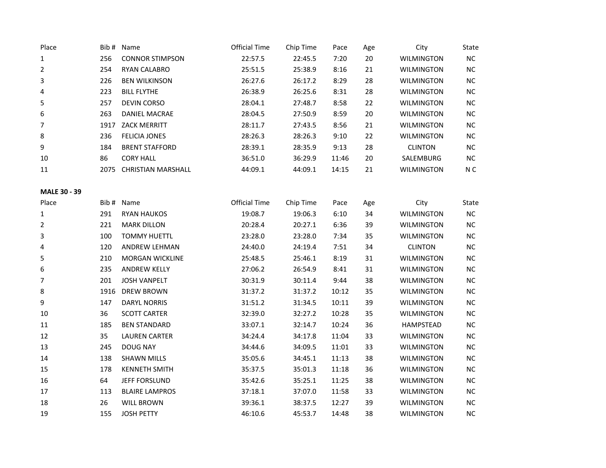| Place               | Bib# | Name                    | <b>Official Time</b> | Chip Time | Pace  | Age    | City              | State     |
|---------------------|------|-------------------------|----------------------|-----------|-------|--------|-------------------|-----------|
| 1                   | 256  | <b>CONNOR STIMPSON</b>  | 22:57.5              | 22:45.5   | 7:20  | $20\,$ | <b>WILMINGTON</b> | $NC$      |
| $\overline{2}$      | 254  | RYAN CALABRO            | 25:51.5              | 25:38.9   | 8:16  | 21     | <b>WILMINGTON</b> | $NC$      |
| 3                   | 226  | <b>BEN WILKINSON</b>    | 26:27.6              | 26:17.2   | 8:29  | 28     | WILMINGTON        | $NC$      |
| 4                   | 223  | <b>BILL FLYTHE</b>      | 26:38.9              | 26:25.6   | 8:31  | 28     | <b>WILMINGTON</b> | NC        |
| 5                   | 257  | <b>DEVIN CORSO</b>      | 28:04.1              | 27:48.7   | 8:58  | 22     | <b>WILMINGTON</b> | NC        |
| 6                   | 263  | <b>DANIEL MACRAE</b>    | 28:04.5              | 27:50.9   | 8:59  | 20     | <b>WILMINGTON</b> | <b>NC</b> |
| 7                   | 1917 | <b>ZACK MERRITT</b>     | 28:11.7              | 27:43.5   | 8:56  | 21     | <b>WILMINGTON</b> | <b>NC</b> |
| 8                   | 236  | <b>FELICIA JONES</b>    | 28:26.3              | 28:26.3   | 9:10  | 22     | <b>WILMINGTON</b> | $NC$      |
| 9                   | 184  | <b>BRENT STAFFORD</b>   | 28:39.1              | 28:35.9   | 9:13  | 28     | <b>CLINTON</b>    | $NC$      |
| 10                  | 86   | <b>CORY HALL</b>        | 36:51.0              | 36:29.9   | 11:46 | $20\,$ | SALEMBURG         | $NC$      |
| 11                  |      | 2075 CHRISTIAN MARSHALL | 44:09.1              | 44:09.1   | 14:15 | 21     | <b>WILMINGTON</b> | N C       |
| <b>MALE 30 - 39</b> |      |                         |                      |           |       |        |                   |           |
| Place               |      | Bib # Name              | <b>Official Time</b> | Chip Time | Pace  | Age    | City              | State     |
| 1                   | 291  | <b>RYAN HAUKOS</b>      | 19:08.7              | 19:06.3   | 6:10  | 34     | <b>WILMINGTON</b> | <b>NC</b> |
| 2                   | 221  | <b>MARK DILLON</b>      | 20:28.4              | 20:27.1   | 6:36  | 39     | <b>WILMINGTON</b> | $NC$      |
| 3                   | 100  | <b>TOMMY HUETTL</b>     | 23:28.0              | 23:28.0   | 7:34  | 35     | <b>WILMINGTON</b> | $NC$      |
| 4                   | 120  | ANDREW LEHMAN           | 24:40.0              | 24:19.4   | 7:51  | 34     | <b>CLINTON</b>    | $NC$      |
| 5                   | 210  | MORGAN WICKLINE         | 25:48.5              | 25:46.1   | 8:19  | 31     | <b>WILMINGTON</b> | NC        |
| 6                   | 235  | <b>ANDREW KELLY</b>     | 27:06.2              | 26:54.9   | 8:41  | 31     | <b>WILMINGTON</b> | <b>NC</b> |
| 7                   | 201  | <b>JOSH VANPELT</b>     | 30:31.9              | 30:11.4   | 9:44  | 38     | <b>WILMINGTON</b> | NC        |
| 8                   | 1916 | <b>DREW BROWN</b>       | 31:37.2              | 31:37.2   | 10:12 | 35     | <b>WILMINGTON</b> | <b>NC</b> |
| 9                   | 147  | <b>DARYL NORRIS</b>     | 31:51.2              | 31:34.5   | 10:11 | 39     | <b>WILMINGTON</b> | NC        |
| $10\,$              | 36   | <b>SCOTT CARTER</b>     | 32:39.0              | 32:27.2   | 10:28 | 35     | <b>WILMINGTON</b> | $NC$      |
| 11                  | 185  | <b>BEN STANDARD</b>     | 33:07.1              | 32:14.7   | 10:24 | 36     | HAMPSTEAD         | NC        |
| 12                  | 35   | <b>LAUREN CARTER</b>    | 34:24.4              | 34:17.8   | 11:04 | 33     | <b>WILMINGTON</b> | $NC$      |
| 13                  | 245  | <b>DOUG NAY</b>         | 34:44.6              | 34:09.5   | 11:01 | 33     | <b>WILMINGTON</b> | <b>NC</b> |
| 14                  | 138  | <b>SHAWN MILLS</b>      | 35:05.6              | 34:45.1   | 11:13 | 38     | <b>WILMINGTON</b> | <b>NC</b> |
| 15                  | 178  | <b>KENNETH SMITH</b>    | 35:37.5              | 35:01.3   | 11:18 | 36     | <b>WILMINGTON</b> | <b>NC</b> |
| 16                  | 64   | JEFF FORSLUND           | 35:42.6              | 35:25.1   | 11:25 | 38     | <b>WILMINGTON</b> | <b>NC</b> |
| 17                  | 113  | <b>BLAIRE LAMPROS</b>   | 37:18.1              | 37:07.0   | 11:58 | 33     | <b>WILMINGTON</b> | $NC$      |
| 18                  | 26   | <b>WILL BROWN</b>       | 39:36.1              | 38:37.5   | 12:27 | 39     | <b>WILMINGTON</b> | NC        |
| 19                  | 155  | <b>JOSH PETTY</b>       | 46:10.6              | 45:53.7   | 14:48 | 38     | <b>WILMINGTON</b> | NC        |
|                     |      |                         |                      |           |       |        |                   |           |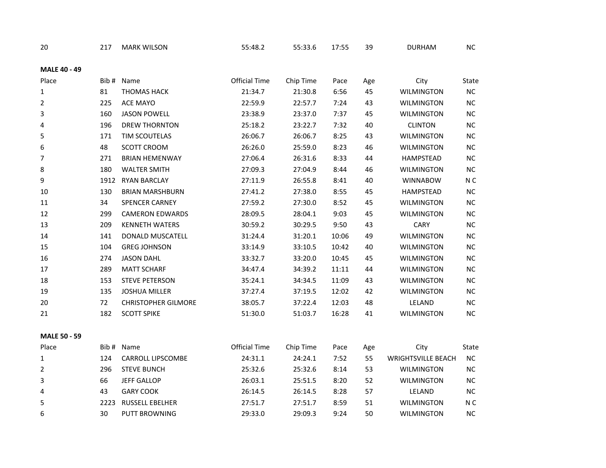| 20                  | 217  | <b>MARK WILSON</b>         | 55:48.2              | 55:33.6   | 17:55 | 39  | <b>DURHAM</b>             | ${\sf NC}$     |
|---------------------|------|----------------------------|----------------------|-----------|-------|-----|---------------------------|----------------|
| <b>MALE 40 - 49</b> |      |                            |                      |           |       |     |                           |                |
| Place               |      | Bib # Name                 | Official Time        | Chip Time | Pace  | Age | City                      | State          |
| 1                   | 81   | <b>THOMAS HACK</b>         | 21:34.7              | 21:30.8   | 6:56  | 45  | <b>WILMINGTON</b>         | ${\sf NC}$     |
| $\overline{2}$      | 225  | ACE MAYO                   | 22:59.9              | 22:57.7   | 7:24  | 43  | <b>WILMINGTON</b>         | ${\sf NC}$     |
| 3                   | 160  | <b>JASON POWELL</b>        | 23:38.9              | 23:37.0   | 7:37  | 45  | <b>WILMINGTON</b>         | $\sf NC$       |
| 4                   | 196  | <b>DREW THORNTON</b>       | 25:18.2              | 23:22.7   | 7:32  | 40  | <b>CLINTON</b>            | NC             |
| 5                   | 171  | TIM SCOUTELAS              | 26:06.7              | 26:06.7   | 8:25  | 43  | <b>WILMINGTON</b>         | $NC$           |
| 6                   | 48   | <b>SCOTT CROOM</b>         | 26:26.0              | 25:59.0   | 8:23  | 46  | <b>WILMINGTON</b>         | NC             |
| $\overline{7}$      | 271  | <b>BRIAN HEMENWAY</b>      | 27:06.4              | 26:31.6   | 8:33  | 44  | HAMPSTEAD                 | ${\sf NC}$     |
| 8                   | 180  | <b>WALTER SMITH</b>        | 27:09.3              | 27:04.9   | 8:44  | 46  | WILMINGTON                | $\sf NC$       |
| 9                   | 1912 | <b>RYAN BARCLAY</b>        | 27:11.9              | 26:55.8   | 8:41  | 40  | <b>WINNABOW</b>           | N <sub>C</sub> |
| 10                  | 130  | <b>BRIAN MARSHBURN</b>     | 27:41.2              | 27:38.0   | 8:55  | 45  | HAMPSTEAD                 | NC             |
| 11                  | 34   | <b>SPENCER CARNEY</b>      | 27:59.2              | 27:30.0   | 8:52  | 45  | <b>WILMINGTON</b>         | $NC$           |
| 12                  | 299  | <b>CAMERON EDWARDS</b>     | 28:09.5              | 28:04.1   | 9:03  | 45  | <b>WILMINGTON</b>         | $\sf NC$       |
| 13                  | 209  | <b>KENNETH WATERS</b>      | 30:59.2              | 30:29.5   | 9:50  | 43  | CARY                      | $NC$           |
| 14                  | 141  | DONALD MUSCATELL           | 31:24.4              | 31:20.1   | 10:06 | 49  | <b>WILMINGTON</b>         | NC             |
| 15                  | 104  | <b>GREG JOHNSON</b>        | 33:14.9              | 33:10.5   | 10:42 | 40  | <b>WILMINGTON</b>         | $NC$           |
| 16                  | 274  | <b>JASON DAHL</b>          | 33:32.7              | 33:20.0   | 10:45 | 45  | <b>WILMINGTON</b>         | NC             |
| 17                  | 289  | <b>MATT SCHARF</b>         | 34:47.4              | 34:39.2   | 11:11 | 44  | <b>WILMINGTON</b>         | $NC$           |
| 18                  | 153  | <b>STEVE PETERSON</b>      | 35:24.1              | 34:34.5   | 11:09 | 43  | <b>WILMINGTON</b>         | $\sf NC$       |
| 19                  | 135  | <b>JOSHUA MILLER</b>       | 37:27.4              | 37:19.5   | 12:02 | 42  | <b>WILMINGTON</b>         | $NC$           |
| 20                  | 72   | <b>CHRISTOPHER GILMORE</b> | 38:05.7              | 37:22.4   | 12:03 | 48  | LELAND                    | NC             |
| 21                  | 182  | <b>SCOTT SPIKE</b>         | 51:30.0              | 51:03.7   | 16:28 | 41  | <b>WILMINGTON</b>         | NC             |
| <b>MALE 50 - 59</b> |      |                            |                      |           |       |     |                           |                |
| Place               |      | Bib # Name                 | <b>Official Time</b> | Chip Time | Pace  | Age | City                      | State          |
| $\mathbf{1}$        | 124  | CARROLL LIPSCOMBE          | 24:31.1              | 24:24.1   | 7:52  | 55  | <b>WRIGHTSVILLE BEACH</b> | $NC$           |
| $\overline{2}$      | 296  | <b>STEVE BUNCH</b>         | 25:32.6              | 25:32.6   | 8:14  | 53  | <b>WILMINGTON</b>         | NC             |
| 3                   | 66   | <b>JEFF GALLOP</b>         | 26:03.1              | 25:51.5   | 8:20  | 52  | <b>WILMINGTON</b>         | $NC$           |
| 4                   | 43   | <b>GARY COOK</b>           | 26:14.5              | 26:14.5   | 8:28  | 57  | LELAND                    | ${\sf NC}$     |
| 5                   | 2223 | RUSSELL EBELHER            | 27:51.7              | 27:51.7   | 8:59  | 51  | WILMINGTON                | N <sub>C</sub> |
| 6                   | 30   | PUTT BROWNING              | 29:33.0              | 29:09.3   | 9:24  | 50  | <b>WILMINGTON</b>         | NC             |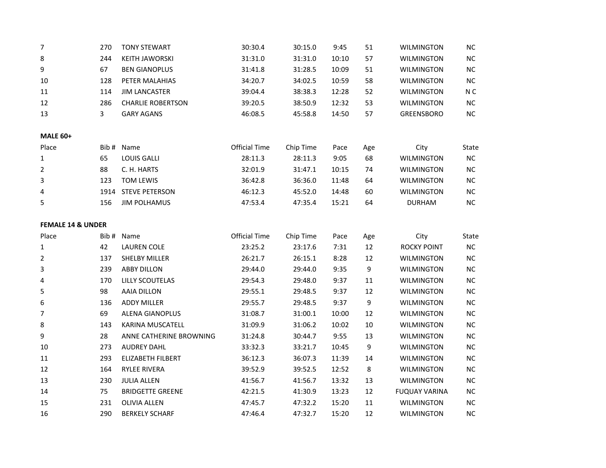| $\overline{7}$               | 270   | <b>TONY STEWART</b>      | 30:30.4              | 30:15.0   | 9:45  | 51     | <b>WILMINGTON</b>    | <b>NC</b>  |
|------------------------------|-------|--------------------------|----------------------|-----------|-------|--------|----------------------|------------|
| 8                            | 244   | <b>KEITH JAWORSKI</b>    | 31:31.0              | 31:31.0   | 10:10 | 57     | <b>WILMINGTON</b>    | NC         |
| 9                            | 67    | <b>BEN GIANOPLUS</b>     | 31:41.8              | 31:28.5   | 10:09 | 51     | <b>WILMINGTON</b>    | NC         |
| 10                           | 128   | PETER MALAHIAS           | 34:20.7              | 34:02.5   | 10:59 | 58     | <b>WILMINGTON</b>    | $NC$       |
| 11                           | 114   | <b>JIM LANCASTER</b>     | 39:04.4              | 38:38.3   | 12:28 | 52     | <b>WILMINGTON</b>    | N C        |
| 12                           | 286   | <b>CHARLIE ROBERTSON</b> | 39:20.5              | 38:50.9   | 12:32 | 53     | <b>WILMINGTON</b>    | <b>NC</b>  |
| 13                           | 3     | <b>GARY AGANS</b>        | 46:08.5              | 45:58.8   | 14:50 | 57     | <b>GREENSBORO</b>    | NC         |
| <b>MALE 60+</b>              |       |                          |                      |           |       |        |                      |            |
| Place                        |       | Bib # Name               | <b>Official Time</b> | Chip Time | Pace  | Age    | City                 | State      |
| $\mathbf{1}$                 | 65    | <b>LOUIS GALLI</b>       | 28:11.3              | 28:11.3   | 9:05  | 68     | <b>WILMINGTON</b>    | NC         |
| $\overline{2}$               | 88    | C. H. HARTS              | 32:01.9              | 31:47.1   | 10:15 | 74     | <b>WILMINGTON</b>    | NC         |
| 3                            | 123   | <b>TOM LEWIS</b>         | 36:42.8              | 36:36.0   | 11:48 | 64     | <b>WILMINGTON</b>    | <b>NC</b>  |
| 4                            | 1914  | <b>STEVE PETERSON</b>    | 46:12.3              | 45:52.0   | 14:48 | 60     | <b>WILMINGTON</b>    | NC         |
| 5                            | 156   | <b>JIM POLHAMUS</b>      | 47:53.4              | 47:35.4   | 15:21 | 64     | <b>DURHAM</b>        | NC         |
| <b>FEMALE 14 &amp; UNDER</b> |       |                          |                      |           |       |        |                      |            |
| Place                        | Bib # | Name                     | <b>Official Time</b> | Chip Time | Pace  | Age    | City                 | State      |
| $\mathbf{1}$                 | 42    | <b>LAUREN COLE</b>       | 23:25.2              | 23:17.6   | 7:31  | 12     | <b>ROCKY POINT</b>   | NC         |
| 2                            | 137   | <b>SHELBY MILLER</b>     | 26:21.7              | 26:15.1   | 8:28  | 12     | <b>WILMINGTON</b>    | $NC$       |
| 3                            | 239   | <b>ABBY DILLON</b>       | 29:44.0              | 29:44.0   | 9:35  | 9      | <b>WILMINGTON</b>    | $NC$       |
| 4                            | 170   | <b>LILLY SCOUTELAS</b>   | 29:54.3              | 29:48.0   | 9:37  | 11     | <b>WILMINGTON</b>    | NC         |
| 5                            | 98    | <b>AAIA DILLON</b>       | 29:55.1              | 29:48.5   | 9:37  | 12     | <b>WILMINGTON</b>    | <b>NC</b>  |
| 6                            | 136   | <b>ADDY MILLER</b>       | 29:55.7              | 29:48.5   | 9:37  | 9      | <b>WILMINGTON</b>    | ${\sf NC}$ |
| $\overline{7}$               | 69    | <b>ALENA GIANOPLUS</b>   | 31:08.7              | 31:00.1   | 10:00 | 12     | WILMINGTON           | <b>NC</b>  |
| 8                            | 143   | <b>KARINA MUSCATELL</b>  | 31:09.9              | 31:06.2   | 10:02 | $10\,$ | <b>WILMINGTON</b>    | $NC$       |
| 9                            | 28    | ANNE CATHERINE BROWNING  | 31:24.8              | 30:44.7   | 9:55  | 13     | <b>WILMINGTON</b>    | NC         |
| 10                           | 273   | <b>AUDREY DAHL</b>       | 33:32.3              | 33:21.7   | 10:45 | 9      | <b>WILMINGTON</b>    | <b>NC</b>  |
| 11                           | 293   | ELIZABETH FILBERT        | 36:12.3              | 36:07.3   | 11:39 | 14     | <b>WILMINGTON</b>    | <b>NC</b>  |
| 12                           | 164   | <b>RYLEE RIVERA</b>      | 39:52.9              | 39:52.5   | 12:52 | 8      | <b>WILMINGTON</b>    | <b>NC</b>  |
| 13                           | 230   | <b>JULIA ALLEN</b>       | 41:56.7              | 41:56.7   | 13:32 | 13     | <b>WILMINGTON</b>    | $NC$       |
| 14                           | 75    | <b>BRIDGETTE GREENE</b>  | 42:21.5              | 41:30.9   | 13:23 | 12     | <b>FUQUAY VARINA</b> | $NC$       |
| 15                           | 231   | <b>OLIVIA ALLEN</b>      | 47:45.7              | 47:32.2   | 15:20 | $11\,$ | <b>WILMINGTON</b>    | NC         |
| 16                           | 290   | <b>BERKELY SCHARF</b>    | 47:46.4              | 47:32.7   | 15:20 | 12     | <b>WILMINGTON</b>    | NC         |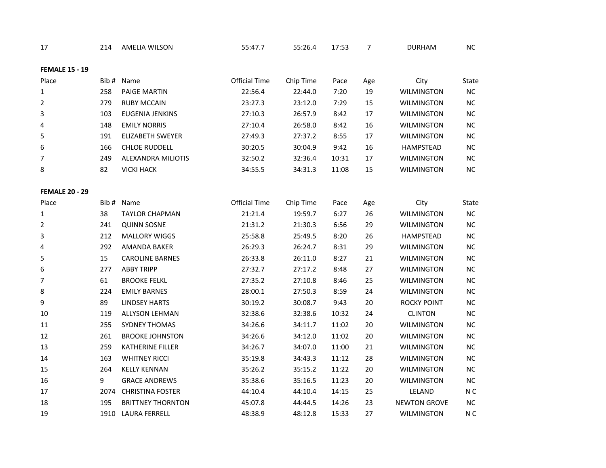| 17                    | 214  | <b>AMELIA WILSON</b>     | 55:47.7              | 55:26.4   | 17:53 | 7   | <b>DURHAM</b>       | <b>NC</b>      |
|-----------------------|------|--------------------------|----------------------|-----------|-------|-----|---------------------|----------------|
| <b>FEMALE 15 - 19</b> |      |                          |                      |           |       |     |                     |                |
| Place                 | Bib# | Name                     | <b>Official Time</b> | Chip Time | Pace  | Age | City                | State          |
| 1                     | 258  | <b>PAIGE MARTIN</b>      | 22:56.4              | 22:44.0   | 7:20  | 19  | <b>WILMINGTON</b>   | NC.            |
| 2                     | 279  | <b>RUBY MCCAIN</b>       | 23:27.3              | 23:12.0   | 7:29  | 15  | <b>WILMINGTON</b>   | $NC$           |
| 3                     | 103  | <b>EUGENIA JENKINS</b>   | 27:10.3              | 26:57.9   | 8:42  | 17  | <b>WILMINGTON</b>   | NC             |
| 4                     | 148  | <b>EMILY NORRIS</b>      | 27:10.4              | 26:58.0   | 8:42  | 16  | <b>WILMINGTON</b>   | $NC$           |
| 5                     | 191  | <b>ELIZABETH SWEYER</b>  | 27:49.3              | 27:37.2   | 8:55  | 17  | <b>WILMINGTON</b>   | NC             |
| 6                     | 166  | <b>CHLOE RUDDELL</b>     | 30:20.5              | 30:04.9   | 9:42  | 16  | HAMPSTEAD           | <b>NC</b>      |
| 7                     | 249  | ALEXANDRA MILIOTIS       | 32:50.2              | 32:36.4   | 10:31 | 17  | <b>WILMINGTON</b>   | NC             |
| 8                     | 82   | <b>VICKI HACK</b>        | 34:55.5              | 34:31.3   | 11:08 | 15  | <b>WILMINGTON</b>   | NC             |
|                       |      |                          |                      |           |       |     |                     |                |
| <b>FEMALE 20 - 29</b> |      |                          |                      |           |       |     |                     |                |
| Place                 |      | Bib # Name               | <b>Official Time</b> | Chip Time | Pace  | Age | City                | State          |
| 1                     | 38   | <b>TAYLOR CHAPMAN</b>    | 21:21.4              | 19:59.7   | 6:27  | 26  | <b>WILMINGTON</b>   | <b>NC</b>      |
| 2                     | 241  | <b>QUINN SOSNE</b>       | 21:31.2              | 21:30.3   | 6:56  | 29  | <b>WILMINGTON</b>   | $NC$           |
| 3                     | 212  | <b>MALLORY WIGGS</b>     | 25:58.8              | 25:49.5   | 8:20  | 26  | <b>HAMPSTEAD</b>    | NC             |
| 4                     | 292  | AMANDA BAKER             | 26:29.3              | 26:24.7   | 8:31  | 29  | <b>WILMINGTON</b>   | $NC$           |
| 5                     | 15   | <b>CAROLINE BARNES</b>   | 26:33.8              | 26:11.0   | 8:27  | 21  | <b>WILMINGTON</b>   | NC             |
| 6                     | 277  | <b>ABBY TRIPP</b>        | 27:32.7              | 27:17.2   | 8:48  | 27  | <b>WILMINGTON</b>   | NC             |
| 7                     | 61   | <b>BROOKE FELKL</b>      | 27:35.2              | 27:10.8   | 8:46  | 25  | <b>WILMINGTON</b>   | NC             |
| 8                     | 224  | <b>EMILY BARNES</b>      | 28:00.1              | 27:50.3   | 8:59  | 24  | <b>WILMINGTON</b>   | $NC$           |
| 9                     | 89   | <b>LINDSEY HARTS</b>     | 30:19.2              | 30:08.7   | 9:43  | 20  | ROCKY POINT         | NC             |
| 10                    | 119  | <b>ALLYSON LEHMAN</b>    | 32:38.6              | 32:38.6   | 10:32 | 24  | <b>CLINTON</b>      | $NC$           |
| 11                    | 255  | <b>SYDNEY THOMAS</b>     | 34:26.6              | 34:11.7   | 11:02 | 20  | <b>WILMINGTON</b>   | NC             |
| 12                    | 261  | <b>BROOKE JOHNSTON</b>   | 34:26.6              | 34:12.0   | 11:02 | 20  | <b>WILMINGTON</b>   | <b>NC</b>      |
| 13                    | 259  | KATHERINE FILLER         | 34:26.7              | 34:07.0   | 11:00 | 21  | <b>WILMINGTON</b>   | NC             |
| 14                    | 163  | <b>WHITNEY RICCI</b>     | 35:19.8              | 34:43.3   | 11:12 | 28  | <b>WILMINGTON</b>   | <b>NC</b>      |
| 15                    | 264  | <b>KELLY KENNAN</b>      | 35:26.2              | 35:15.2   | 11:22 | 20  | <b>WILMINGTON</b>   | NC             |
| 16                    | 9    | <b>GRACE ANDREWS</b>     | 35:38.6              | 35:16.5   | 11:23 | 20  | <b>WILMINGTON</b>   | <b>NC</b>      |
| 17                    | 2074 | <b>CHRISTINA FOSTER</b>  | 44:10.4              | 44:10.4   | 14:15 | 25  | LELAND              | N <sub>C</sub> |
| 18                    | 195  | <b>BRITTNEY THORNTON</b> | 45:07.8              | 44:44.5   | 14:26 | 23  | <b>NEWTON GROVE</b> | <b>NC</b>      |
| 19                    | 1910 | <b>LAURA FERRELL</b>     | 48:38.9              | 48:12.8   | 15:33 | 27  | <b>WILMINGTON</b>   | N <sub>C</sub> |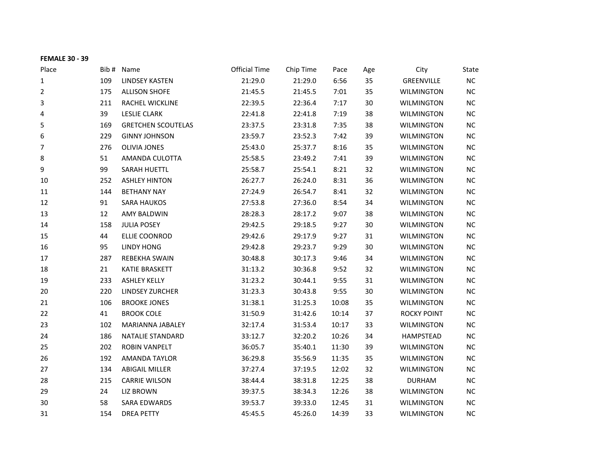| <b>FEMALE 30 - 39</b> |       |                           |                      |           |       |     |                    |           |
|-----------------------|-------|---------------------------|----------------------|-----------|-------|-----|--------------------|-----------|
| Place                 | Bib # | Name                      | <b>Official Time</b> | Chip Time | Pace  | Age | City               | State     |
| 1                     | 109   | <b>LINDSEY KASTEN</b>     | 21:29.0              | 21:29.0   | 6:56  | 35  | <b>GREENVILLE</b>  | NC        |
| 2                     | 175   | <b>ALLISON SHOFE</b>      | 21:45.5              | 21:45.5   | 7:01  | 35  | <b>WILMINGTON</b>  | NC        |
| 3                     | 211   | RACHEL WICKLINE           | 22:39.5              | 22:36.4   | 7:17  | 30  | <b>WILMINGTON</b>  | $NC$      |
| 4                     | 39    | <b>LESLIE CLARK</b>       | 22:41.8              | 22:41.8   | 7:19  | 38  | <b>WILMINGTON</b>  | <b>NC</b> |
| 5                     | 169   | <b>GRETCHEN SCOUTELAS</b> | 23:37.5              | 23:31.8   | 7:35  | 38  | <b>WILMINGTON</b>  | <b>NC</b> |
| 6                     | 229   | <b>GINNY JOHNSON</b>      | 23:59.7              | 23:52.3   | 7:42  | 39  | <b>WILMINGTON</b>  | NC        |
| 7                     | 276   | <b>OLIVIA JONES</b>       | 25:43.0              | 25:37.7   | 8:16  | 35  | <b>WILMINGTON</b>  | <b>NC</b> |
| 8                     | 51    | AMANDA CULOTTA            | 25:58.5              | 23:49.2   | 7:41  | 39  | <b>WILMINGTON</b>  | $NC$      |
| 9                     | 99    | SARAH HUETTL              | 25:58.7              | 25:54.1   | 8:21  | 32  | <b>WILMINGTON</b>  | $NC$      |
| 10                    | 252   | <b>ASHLEY HINTON</b>      | 26:27.7              | 26:24.0   | 8:31  | 36  | <b>WILMINGTON</b>  | NC        |
| 11                    | 144   | <b>BETHANY NAY</b>        | 27:24.9              | 26:54.7   | 8:41  | 32  | <b>WILMINGTON</b>  | <b>NC</b> |
| 12                    | 91    | <b>SARA HAUKOS</b>        | 27:53.8              | 27:36.0   | 8:54  | 34  | <b>WILMINGTON</b>  | NC        |
| 13                    | 12    | <b>AMY BALDWIN</b>        | 28:28.3              | 28:17.2   | 9:07  | 38  | <b>WILMINGTON</b>  | NC        |
| 14                    | 158   | <b>JULIA POSEY</b>        | 29:42.5              | 29:18.5   | 9:27  | 30  | <b>WILMINGTON</b>  | <b>NC</b> |
| 15                    | 44    | ELLIE COONROD             | 29:42.6              | 29:17.9   | 9:27  | 31  | <b>WILMINGTON</b>  | NC        |
| 16                    | 95    | <b>LINDY HONG</b>         | 29:42.8              | 29:23.7   | 9:29  | 30  | <b>WILMINGTON</b>  | $NC$      |
| 17                    | 287   | REBEKHA SWAIN             | 30:48.8              | 30:17.3   | 9:46  | 34  | <b>WILMINGTON</b>  | <b>NC</b> |
| 18                    | 21    | <b>KATIE BRASKETT</b>     | 31:13.2              | 30:36.8   | 9:52  | 32  | <b>WILMINGTON</b>  | <b>NC</b> |
| 19                    | 233   | <b>ASHLEY KELLY</b>       | 31:23.2              | 30:44.1   | 9:55  | 31  | <b>WILMINGTON</b>  | NC        |
| 20                    | 220   | <b>LINDSEY ZURCHER</b>    | 31:23.3              | 30:43.8   | 9:55  | 30  | <b>WILMINGTON</b>  | NC        |
| 21                    | 106   | <b>BROOKE JONES</b>       | 31:38.1              | 31:25.3   | 10:08 | 35  | <b>WILMINGTON</b>  | NC        |
| 22                    | 41    | <b>BROOK COLE</b>         | 31:50.9              | 31:42.6   | 10:14 | 37  | <b>ROCKY POINT</b> | <b>NC</b> |
| 23                    | 102   | MARIANNA JABALEY          | 32:17.4              | 31:53.4   | 10:17 | 33  | <b>WILMINGTON</b>  | NC        |
| 24                    | 186   | <b>NATALIE STANDARD</b>   | 33:12.7              | 32:20.2   | 10:26 | 34  | HAMPSTEAD          | <b>NC</b> |
| 25                    | 202   | <b>ROBIN VANPELT</b>      | 36:05.7              | 35:40.1   | 11:30 | 39  | <b>WILMINGTON</b>  | <b>NC</b> |
| 26                    | 192   | <b>AMANDA TAYLOR</b>      | 36:29.8              | 35:56.9   | 11:35 | 35  | <b>WILMINGTON</b>  | NC        |
| 27                    | 134   | <b>ABIGAIL MILLER</b>     | 37:27.4              | 37:19.5   | 12:02 | 32  | <b>WILMINGTON</b>  | $NC$      |
| 28                    | 215   | <b>CARRIE WILSON</b>      | 38:44.4              | 38:31.8   | 12:25 | 38  | <b>DURHAM</b>      | <b>NC</b> |
| 29                    | 24    | <b>LIZ BROWN</b>          | 39:37.5              | 38:34.3   | 12:26 | 38  | <b>WILMINGTON</b>  | <b>NC</b> |
| 30                    | 58    | SARA EDWARDS              | 39:53.7              | 39:33.0   | 12:45 | 31  | <b>WILMINGTON</b>  | NC        |
| 31                    | 154   | <b>DREA PETTY</b>         | 45:45.5              | 45:26.0   | 14:39 | 33  | WILMINGTON         | NC        |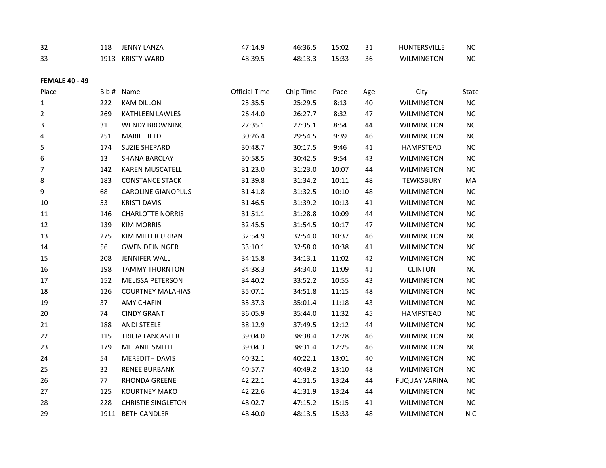| 32                    | 118   | <b>JENNY LANZA</b>        | 47:14.9              | 46:36.5   | 15:02 | 31  | HUNTERSVILLE         | <b>NC</b>      |
|-----------------------|-------|---------------------------|----------------------|-----------|-------|-----|----------------------|----------------|
| 33                    |       | 1913 KRISTY WARD          | 48:39.5              | 48:13.3   | 15:33 | 36  | <b>WILMINGTON</b>    | $NC$           |
| <b>FEMALE 40 - 49</b> |       |                           |                      |           |       |     |                      |                |
| Place                 | Bib # | Name                      | <b>Official Time</b> | Chip Time | Pace  | Age | City                 | State          |
| 1                     | 222   | <b>KAM DILLON</b>         | 25:35.5              | 25:29.5   | 8:13  | 40  | <b>WILMINGTON</b>    | $NC$           |
| $\overline{2}$        | 269   | KATHLEEN LAWLES           | 26:44.0              | 26:27.7   | 8:32  | 47  | <b>WILMINGTON</b>    | NC             |
| 3                     | 31    | <b>WENDY BROWNING</b>     | 27:35.1              | 27:35.1   | 8:54  | 44  | <b>WILMINGTON</b>    | $NC$           |
| 4                     | 251   | <b>MARIE FIELD</b>        | 30:26.4              | 29:54.5   | 9:39  | 46  | <b>WILMINGTON</b>    | $NC$           |
| 5                     | 174   | <b>SUZIE SHEPARD</b>      | 30:48.7              | 30:17.5   | 9:46  | 41  | HAMPSTEAD            | NC             |
| 6                     | 13    | <b>SHANA BARCLAY</b>      | 30:58.5              | 30:42.5   | 9:54  | 43  | <b>WILMINGTON</b>    | NC             |
| 7                     | 142   | KAREN MUSCATELL           | 31:23.0              | 31:23.0   | 10:07 | 44  | <b>WILMINGTON</b>    | $NC$           |
| 8                     | 183   | <b>CONSTANCE STACK</b>    | 31:39.8              | 31:34.2   | 10:11 | 48  | TEWKSBURY            | MA             |
| 9                     | 68    | <b>CAROLINE GIANOPLUS</b> | 31:41.8              | 31:32.5   | 10:10 | 48  | <b>WILMINGTON</b>    | $NC$           |
| 10                    | 53    | <b>KRISTI DAVIS</b>       | 31:46.5              | 31:39.2   | 10:13 | 41  | <b>WILMINGTON</b>    | $NC$           |
| 11                    | 146   | <b>CHARLOTTE NORRIS</b>   | 31:51.1              | 31:28.8   | 10:09 | 44  | <b>WILMINGTON</b>    | NC             |
| 12                    | 139   | <b>KIM MORRIS</b>         | 32:45.5              | 31:54.5   | 10:17 | 47  | <b>WILMINGTON</b>    | NC             |
| 13                    | 275   | KIM MILLER URBAN          | 32:54.9              | 32:54.0   | 10:37 | 46  | <b>WILMINGTON</b>    | $NC$           |
| 14                    | 56    | <b>GWEN DEININGER</b>     | 33:10.1              | 32:58.0   | 10:38 | 41  | <b>WILMINGTON</b>    | $NC$           |
| 15                    | 208   | <b>JENNIFER WALL</b>      | 34:15.8              | 34:13.1   | 11:02 | 42  | WILMINGTON           | NC             |
| 16                    | 198   | <b>TAMMY THORNTON</b>     | 34:38.3              | 34:34.0   | 11:09 | 41  | <b>CLINTON</b>       | $NC$           |
| 17                    | 152   | <b>MELISSA PETERSON</b>   | 34:40.2              | 33:52.2   | 10:55 | 43  | <b>WILMINGTON</b>    | NC             |
| 18                    | 126   | <b>COURTNEY MALAHIAS</b>  | 35:07.1              | 34:51.8   | 11:15 | 48  | <b>WILMINGTON</b>    | $NC$           |
| 19                    | 37    |                           |                      |           |       | 43  |                      | $NC$           |
|                       |       | <b>AMY CHAFIN</b>         | 35:37.3              | 35:01.4   | 11:18 |     | <b>WILMINGTON</b>    |                |
| 20                    | 74    | <b>CINDY GRANT</b>        | 36:05.9              | 35:44.0   | 11:32 | 45  | HAMPSTEAD            | NC             |
| 21                    | 188   | <b>ANDI STEELE</b>        | 38:12.9              | 37:49.5   | 12:12 | 44  | <b>WILMINGTON</b>    | NC             |
| 22                    | 115   | TRICIA LANCASTER          | 39:04.0              | 38:38.4   | 12:28 | 46  | <b>WILMINGTON</b>    | NC             |
| 23                    | 179   | <b>MELANIE SMITH</b>      | 39:04.3              | 38:31.4   | 12:25 | 46  | <b>WILMINGTON</b>    | $NC$           |
| 24                    | 54    | <b>MEREDITH DAVIS</b>     | 40:32.1              | 40:22.1   | 13:01 | 40  | <b>WILMINGTON</b>    | $NC$           |
| 25                    | 32    | <b>RENEE BURBANK</b>      | 40:57.7              | 40:49.2   | 13:10 | 48  | <b>WILMINGTON</b>    | NC             |
| 26                    | 77    | RHONDA GREENE             | 42:22.1              | 41:31.5   | 13:24 | 44  | <b>FUQUAY VARINA</b> | NC             |
| 27                    | 125   | <b>KOURTNEY MAKO</b>      | 42:22.6              | 41:31.9   | 13:24 | 44  | <b>WILMINGTON</b>    | NC             |
| 28                    | 228   | <b>CHRISTIE SINGLETON</b> | 48:02.7              | 47:15.2   | 15:15 | 41  | <b>WILMINGTON</b>    | $NC$           |
| 29                    | 1911  | <b>BETH CANDLER</b>       | 48:40.0              | 48:13.5   | 15:33 | 48  | <b>WILMINGTON</b>    | N <sub>C</sub> |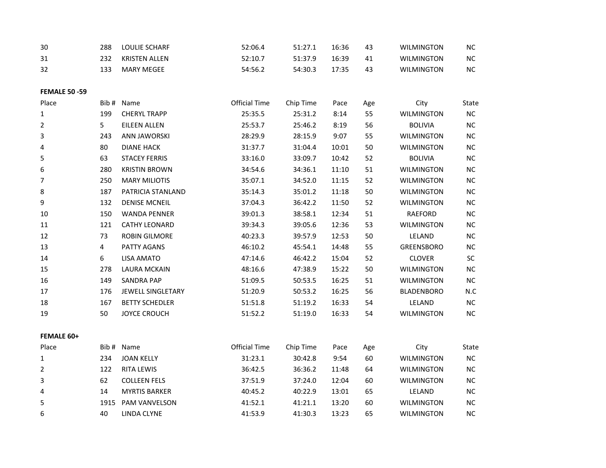| 30 | 288 | LOULIE SCHARF | 52:06.4 | 51:27.1 | 16:36 | 43 | <b>WILMINGTON</b> | NС        |
|----|-----|---------------|---------|---------|-------|----|-------------------|-----------|
| 31 | 232 | KRISTEN ALLEN | 52:10.7 | 51:37.9 | 16:39 | 41 | <b>WILMINGTON</b> | NС        |
| 32 |     | MARY MEGEE    | 54:56.2 | 54:30.3 | 17:35 | 43 | <b>WILMINGTON</b> | <b>NC</b> |

**FEMALE 50 -59**

| Place             | Bib # | Name                     | <b>Official Time</b> | Chip Time | Pace  | Age | City              | State      |
|-------------------|-------|--------------------------|----------------------|-----------|-------|-----|-------------------|------------|
| 1                 | 199   | <b>CHERYL TRAPP</b>      | 25:35.5              | 25:31.2   | 8:14  | 55  | <b>WILMINGTON</b> | $NC$       |
| $\overline{2}$    | 5     | <b>EILEEN ALLEN</b>      | 25:53.7              | 25:46.2   | 8:19  | 56  | <b>BOLIVIA</b>    | <b>NC</b>  |
| 3                 | 243   | <b>ANN JAWORSKI</b>      | 28:29.9              | 28:15.9   | 9:07  | 55  | <b>WILMINGTON</b> | $NC$       |
| 4                 | 80    | <b>DIANE HACK</b>        | 31:37.7              | 31:04.4   | 10:01 | 50  | <b>WILMINGTON</b> | NC         |
| 5                 | 63    | <b>STACEY FERRIS</b>     | 33:16.0              | 33:09.7   | 10:42 | 52  | <b>BOLIVIA</b>    | $NC$       |
| 6                 | 280   | <b>KRISTIN BROWN</b>     | 34:54.6              | 34:36.1   | 11:10 | 51  | <b>WILMINGTON</b> | $NC$       |
| 7                 | 250   | <b>MARY MILIOTIS</b>     | 35:07.1              | 34:52.0   | 11:15 | 52  | <b>WILMINGTON</b> | <b>NC</b>  |
| 8                 | 187   | PATRICIA STANLAND        | 35:14.3              | 35:01.2   | 11:18 | 50  | <b>WILMINGTON</b> | <b>NC</b>  |
| 9                 | 132   | <b>DENISE MCNEIL</b>     | 37:04.3              | 36:42.2   | 11:50 | 52  | <b>WILMINGTON</b> | $NC$       |
| 10                | 150   | <b>WANDA PENNER</b>      | 39:01.3              | 38:58.1   | 12:34 | 51  | RAEFORD           | $NC$       |
| 11                | 121   | <b>CATHY LEONARD</b>     | 39:34.3              | 39:05.6   | 12:36 | 53  | <b>WILMINGTON</b> | <b>NC</b>  |
| 12                | 73    | <b>ROBIN GILMORE</b>     | 40:23.3              | 39:57.9   | 12:53 | 50  | LELAND            | $NC$       |
| 13                | 4     | PATTY AGANS              | 46:10.2              | 45:54.1   | 14:48 | 55  | GREENSBORO        | NC         |
| 14                | 6     | <b>LISA AMATO</b>        | 47:14.6              | 46:42.2   | 15:04 | 52  | <b>CLOVER</b>     | ${\sf SC}$ |
| 15                | 278   | <b>LAURA MCKAIN</b>      | 48:16.6              | 47:38.9   | 15:22 | 50  | <b>WILMINGTON</b> | <b>NC</b>  |
| 16                | 149   | <b>SANDRA PAP</b>        | 51:09.5              | 50:53.5   | 16:25 | 51  | <b>WILMINGTON</b> | <b>NC</b>  |
| 17                | 176   | <b>JEWELL SINGLETARY</b> | 51:20.9              | 50:53.2   | 16:25 | 56  | <b>BLADENBORO</b> | N.C        |
| 18                | 167   | <b>BETTY SCHEDLER</b>    | 51:51.8              | 51:19.2   | 16:33 | 54  | LELAND            | <b>NC</b>  |
| 19                | 50    | <b>JOYCE CROUCH</b>      | 51:52.2              | 51:19.0   | 16:33 | 54  | <b>WILMINGTON</b> | <b>NC</b>  |
| <b>FEMALE 60+</b> |       |                          |                      |           |       |     |                   |            |
| Place             | Bib # | Name                     | <b>Official Time</b> | Chip Time | Pace  | Age | City              | State      |
| 1                 | 234   | <b>JOAN KELLY</b>        | 31:23.1              | 30:42.8   | 9:54  | 60  | <b>WILMINGTON</b> | $NC$       |
| 2                 | 122   | <b>RITA LEWIS</b>        | 36:42.5              | 36:36.2   | 11:48 | 64  | <b>WILMINGTON</b> | <b>NC</b>  |
| 3                 | 62    | <b>COLLEEN FELS</b>      | 37:51.9              | 37:24.0   | 12:04 | 60  | <b>WILMINGTON</b> | <b>NC</b>  |

14 MYRTIS BARKER 40:45.2 40:22.9 13:01 65 LELAND NC

 1915 PAM VANVELSON 41:52.1 41:21.1 13:20 60 WILMINGTON NC 40 LINDA CLYNE 41:53.9 41:30.3 13:23 65 WILMINGTON NC